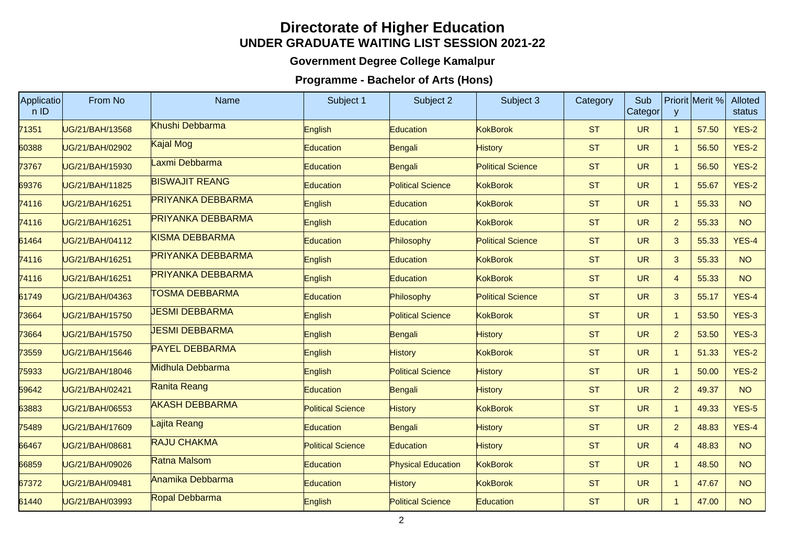## **Directorate of Higher Education UNDER GRADUATE WAITING LIST SESSION 2021-22**

## **Government Degree College Kamalpur**

## **Programme - Bachelor of Arts (Hons)**

| Applicatio<br>n ID | From No         | Name                     | Subject 1                | Subject 2                 | Subject 3                | Category  | Sub<br>Categor | y              | Priorit Merit % | <b>Alloted</b><br>status |
|--------------------|-----------------|--------------------------|--------------------------|---------------------------|--------------------------|-----------|----------------|----------------|-----------------|--------------------------|
| 71351              | UG/21/BAH/13568 | Khushi Debbarma          | English                  | Education                 | <b>KokBorok</b>          | <b>ST</b> | <b>UR</b>      | $\overline{1}$ | 57.50           | <b>YES-2</b>             |
| 60388              | UG/21/BAH/02902 | Kajal Mog                | <b>Education</b>         | Bengali                   | <b>History</b>           | <b>ST</b> | <b>UR</b>      | $\overline{1}$ | 56.50           | <b>YES-2</b>             |
| 73767              | UG/21/BAH/15930 | Laxmi Debbarma           | Education                | Bengali                   | <b>Political Science</b> | <b>ST</b> | <b>UR</b>      | $\overline{1}$ | 56.50           | <b>YES-2</b>             |
| 69376              | UG/21/BAH/11825 | <b>BISWAJIT REANG</b>    | <b>Education</b>         | <b>Political Science</b>  | <b>KokBorok</b>          | <b>ST</b> | <b>UR</b>      | $\overline{1}$ | 55.67           | <b>YES-2</b>             |
| 74116              | UG/21/BAH/16251 | <b>PRIYANKA DEBBARMA</b> | English                  | Education                 | <b>KokBorok</b>          | <b>ST</b> | <b>UR</b>      | $\overline{1}$ | 55.33           | <b>NO</b>                |
| 74116              | UG/21/BAH/16251 | <b>PRIYANKA DEBBARMA</b> | English                  | Education                 | <b>KokBorok</b>          | <b>ST</b> | <b>UR</b>      | $\overline{2}$ | 55.33           | <b>NO</b>                |
| 61464              | UG/21/BAH/04112 | KISMA DEBBARMA           | Education                | Philosophy                | <b>Political Science</b> | <b>ST</b> | <b>UR</b>      | $\mathbf{3}$   | 55.33           | YES-4                    |
| 74116              | UG/21/BAH/16251 | <b>PRIYANKA DEBBARMA</b> | English                  | Education                 | KokBorok                 | <b>ST</b> | <b>UR</b>      | $\mathbf{3}$   | 55.33           | <b>NO</b>                |
| 74116              | UG/21/BAH/16251 | <b>PRIYANKA DEBBARMA</b> | English                  | Education                 | KokBorok                 | <b>ST</b> | <b>UR</b>      | $\overline{4}$ | 55.33           | <b>NO</b>                |
| 61749              | UG/21/BAH/04363 | <b>TOSMA DEBBARMA</b>    | <b>Education</b>         | Philosophy                | <b>Political Science</b> | <b>ST</b> | <b>UR</b>      | $\mathbf{3}$   | 55.17           | YES-4                    |
| 73664              | UG/21/BAH/15750 | <b>JESMI DEBBARMA</b>    | English                  | <b>Political Science</b>  | <b>KokBorok</b>          | <b>ST</b> | <b>UR</b>      | $\overline{1}$ | 53.50           | <b>YES-3</b>             |
| 73664              | UG/21/BAH/15750 | <b>JESMI DEBBARMA</b>    | English                  | Bengali                   | <b>History</b>           | <b>ST</b> | <b>UR</b>      | 2 <sup>2</sup> | 53.50           | $YES-3$                  |
| 73559              | UG/21/BAH/15646 | <b>PAYEL DEBBARMA</b>    | English                  | <b>History</b>            | <b>KokBorok</b>          | <b>ST</b> | <b>UR</b>      | $\overline{1}$ | 51.33           | <b>YES-2</b>             |
| 75933              | UG/21/BAH/18046 | Midhula Debbarma         | English                  | <b>Political Science</b>  | <b>History</b>           | <b>ST</b> | <b>UR</b>      | $\overline{1}$ | 50.00           | <b>YES-2</b>             |
| 59642              | UG/21/BAH/02421 | Ranita Reang             | Education                | Bengali                   | <b>History</b>           | <b>ST</b> | <b>UR</b>      | 2 <sup>2</sup> | 49.37           | <b>NO</b>                |
| 63883              | UG/21/BAH/06553 | <b>AKASH DEBBARMA</b>    | <b>Political Science</b> | History                   | <b>KokBorok</b>          | <b>ST</b> | <b>UR</b>      | $\mathbf{1}$   | 49.33           | YES-5                    |
| 75489              | UG/21/BAH/17609 | Lajita Reang             | Education                | Bengali                   | <b>History</b>           | <b>ST</b> | <b>UR</b>      | $\overline{2}$ | 48.83           | YES-4                    |
| 66467              | UG/21/BAH/08681 | <b>RAJU CHAKMA</b>       | <b>Political Science</b> | Education                 | <b>History</b>           | <b>ST</b> | <b>UR</b>      | $\overline{4}$ | 48.83           | <b>NO</b>                |
| 66859              | UG/21/BAH/09026 | Ratna Malsom             | <b>Education</b>         | <b>Physical Education</b> | <b>KokBorok</b>          | <b>ST</b> | <b>UR</b>      | $\mathbf{1}$   | 48.50           | <b>NO</b>                |
| 67372              | UG/21/BAH/09481 | Anamika Debbarma         | Education                | <b>History</b>            | <b>KokBorok</b>          | <b>ST</b> | <b>UR</b>      | $\overline{1}$ | 47.67           | <b>NO</b>                |
| 61440              | UG/21/BAH/03993 | Ropal Debbarma           | English                  | <b>Political Science</b>  | Education                | <b>ST</b> | <b>UR</b>      | $\overline{1}$ | 47.00           | <b>NO</b>                |